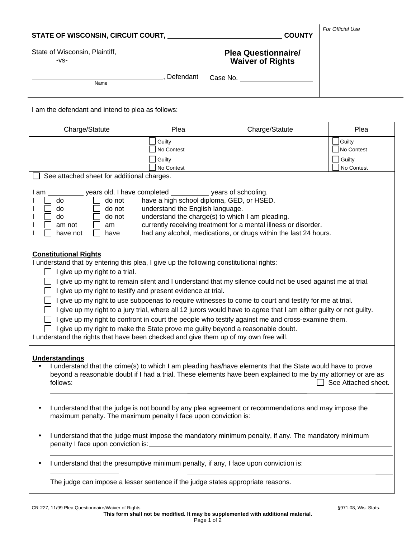| State of Wisconsin, Plaintiff,<br><b>Plea Questionnaire/</b><br>$-VS-$<br><b>Waiver of Rights</b><br>, Defendant<br>Case No.<br>Name<br>I am the defendant and intend to plea as follows:<br>Charge/Statute<br>Plea<br>Charge/Statute<br>Guilty<br>No Contest<br>Guilty<br>No Contest<br>See attached sheet for additional charges.<br>years old. I have completed _____________ years of schooling.<br>I am<br>have a high school diploma, GED, or HSED.<br>do not<br>do<br>do not<br>understand the English language.<br>do<br>understand the charge(s) to which I am pleading.<br>do<br>do not<br>currently receiving treatment for a mental illness or disorder.<br>am not<br>am<br>had any alcohol, medications, or drugs within the last 24 hours.<br>have not<br>have<br><b>Constitutional Rights</b><br>I understand that by entering this plea, I give up the following constitutional rights:<br>I give up my right to a trial.<br>I give up my right to remain silent and I understand that my silence could not be used against me at trial.<br>I give up my right to testify and present evidence at trial.<br>I give up my right to use subpoenas to require witnesses to come to court and testify for me at trial.<br>I give up my right to a jury trial, where all 12 jurors would have to agree that I am either guilty or not guilty.<br>I give up my right to confront in court the people who testify against me and cross-examine them.<br>□ I give up my right to make the State prove me guilty beyond a reasonable doubt.<br>I understand the rights that have been checked and give them up of my own free will. | Plea<br>Guilty<br>No Contest<br>Guilty<br>No Contest |
|--------------------------------------------------------------------------------------------------------------------------------------------------------------------------------------------------------------------------------------------------------------------------------------------------------------------------------------------------------------------------------------------------------------------------------------------------------------------------------------------------------------------------------------------------------------------------------------------------------------------------------------------------------------------------------------------------------------------------------------------------------------------------------------------------------------------------------------------------------------------------------------------------------------------------------------------------------------------------------------------------------------------------------------------------------------------------------------------------------------------------------------------------------------------------------------------------------------------------------------------------------------------------------------------------------------------------------------------------------------------------------------------------------------------------------------------------------------------------------------------------------------------------------------------------------------------------------------------------------------------------------------------|------------------------------------------------------|
|                                                                                                                                                                                                                                                                                                                                                                                                                                                                                                                                                                                                                                                                                                                                                                                                                                                                                                                                                                                                                                                                                                                                                                                                                                                                                                                                                                                                                                                                                                                                                                                                                                            |                                                      |
|                                                                                                                                                                                                                                                                                                                                                                                                                                                                                                                                                                                                                                                                                                                                                                                                                                                                                                                                                                                                                                                                                                                                                                                                                                                                                                                                                                                                                                                                                                                                                                                                                                            |                                                      |
|                                                                                                                                                                                                                                                                                                                                                                                                                                                                                                                                                                                                                                                                                                                                                                                                                                                                                                                                                                                                                                                                                                                                                                                                                                                                                                                                                                                                                                                                                                                                                                                                                                            |                                                      |
|                                                                                                                                                                                                                                                                                                                                                                                                                                                                                                                                                                                                                                                                                                                                                                                                                                                                                                                                                                                                                                                                                                                                                                                                                                                                                                                                                                                                                                                                                                                                                                                                                                            |                                                      |
|                                                                                                                                                                                                                                                                                                                                                                                                                                                                                                                                                                                                                                                                                                                                                                                                                                                                                                                                                                                                                                                                                                                                                                                                                                                                                                                                                                                                                                                                                                                                                                                                                                            |                                                      |
|                                                                                                                                                                                                                                                                                                                                                                                                                                                                                                                                                                                                                                                                                                                                                                                                                                                                                                                                                                                                                                                                                                                                                                                                                                                                                                                                                                                                                                                                                                                                                                                                                                            |                                                      |
|                                                                                                                                                                                                                                                                                                                                                                                                                                                                                                                                                                                                                                                                                                                                                                                                                                                                                                                                                                                                                                                                                                                                                                                                                                                                                                                                                                                                                                                                                                                                                                                                                                            |                                                      |
|                                                                                                                                                                                                                                                                                                                                                                                                                                                                                                                                                                                                                                                                                                                                                                                                                                                                                                                                                                                                                                                                                                                                                                                                                                                                                                                                                                                                                                                                                                                                                                                                                                            |                                                      |
|                                                                                                                                                                                                                                                                                                                                                                                                                                                                                                                                                                                                                                                                                                                                                                                                                                                                                                                                                                                                                                                                                                                                                                                                                                                                                                                                                                                                                                                                                                                                                                                                                                            |                                                      |
|                                                                                                                                                                                                                                                                                                                                                                                                                                                                                                                                                                                                                                                                                                                                                                                                                                                                                                                                                                                                                                                                                                                                                                                                                                                                                                                                                                                                                                                                                                                                                                                                                                            |                                                      |
| <b>Understandings</b><br>I understand that the crime(s) to which I am pleading has/have elements that the State would have to prove<br>beyond a reasonable doubt if I had a trial. These elements have been explained to me by my attorney or are as<br>follows:                                                                                                                                                                                                                                                                                                                                                                                                                                                                                                                                                                                                                                                                                                                                                                                                                                                                                                                                                                                                                                                                                                                                                                                                                                                                                                                                                                           | See Attached sheet.                                  |
| I understand that the judge is not bound by any plea agreement or recommendations and may impose the                                                                                                                                                                                                                                                                                                                                                                                                                                                                                                                                                                                                                                                                                                                                                                                                                                                                                                                                                                                                                                                                                                                                                                                                                                                                                                                                                                                                                                                                                                                                       |                                                      |
| I understand that the judge must impose the mandatory minimum penalty, if any. The mandatory minimum<br>٠                                                                                                                                                                                                                                                                                                                                                                                                                                                                                                                                                                                                                                                                                                                                                                                                                                                                                                                                                                                                                                                                                                                                                                                                                                                                                                                                                                                                                                                                                                                                  |                                                      |
| I understand that the presumptive minimum penalty, if any, I face upon conviction is: ______________                                                                                                                                                                                                                                                                                                                                                                                                                                                                                                                                                                                                                                                                                                                                                                                                                                                                                                                                                                                                                                                                                                                                                                                                                                                                                                                                                                                                                                                                                                                                       |                                                      |
| The judge can impose a lesser sentence if the judge states appropriate reasons.                                                                                                                                                                                                                                                                                                                                                                                                                                                                                                                                                                                                                                                                                                                                                                                                                                                                                                                                                                                                                                                                                                                                                                                                                                                                                                                                                                                                                                                                                                                                                            |                                                      |

Page 1 of 2